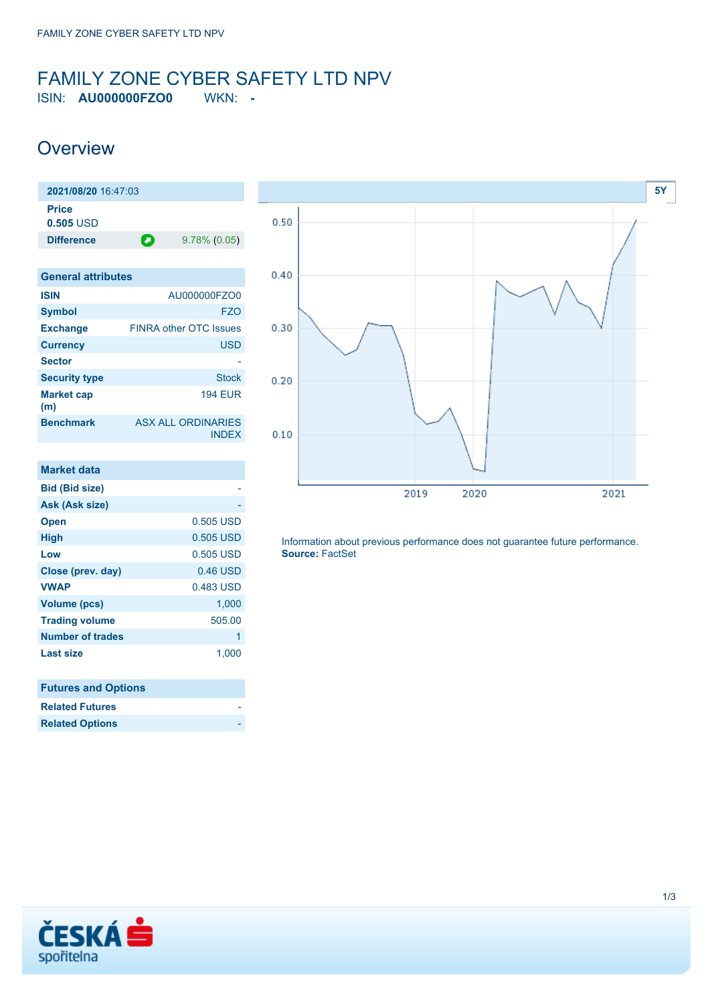### <span id="page-0-0"></span>FAMILY ZONE CYBER SAFETY LTD NPV ISIN: **AU000000FZO0** WKN: **-**

## **Overview**

| 2021/08/20 16:47:03         |   |                 |
|-----------------------------|---|-----------------|
| <b>Price</b><br>$0.505$ USD |   |                 |
| <b>Difference</b>           | О | $9.78\%$ (0.05) |

| <b>General attributes</b> |                                           |
|---------------------------|-------------------------------------------|
| <b>ISIN</b>               | AU000000FZO0                              |
| <b>Symbol</b>             | FZO                                       |
| <b>Exchange</b>           | <b>FINRA other OTC Issues</b>             |
| <b>Currency</b>           | <b>USD</b>                                |
| <b>Sector</b>             |                                           |
| <b>Security type</b>      | <b>Stock</b>                              |
| <b>Market cap</b><br>(m)  | <b>194 EUR</b>                            |
| <b>Benchmark</b>          | <b>ASX ALL ORDINARIES</b><br><b>INDEX</b> |

| Market data             |            |
|-------------------------|------------|
| <b>Bid (Bid size)</b>   |            |
| Ask (Ask size)          |            |
| <b>Open</b>             | 0.505 USD  |
| <b>High</b>             | 0.505 USD  |
| Low                     | 0.505 USD  |
| Close (prev. day)       | $0.46$ USD |
| <b>VWAP</b>             | 0.483 USD  |
| <b>Volume (pcs)</b>     | 1,000      |
| <b>Trading volume</b>   | 505.00     |
| <b>Number of trades</b> | 1          |
| <b>Last size</b>        | 1,000      |
|                         |            |

| <b>Futures and Options</b> |  |
|----------------------------|--|
| <b>Related Futures</b>     |  |
| <b>Related Options</b>     |  |



Information about previous performance does not guarantee future performance. **Source:** FactSet

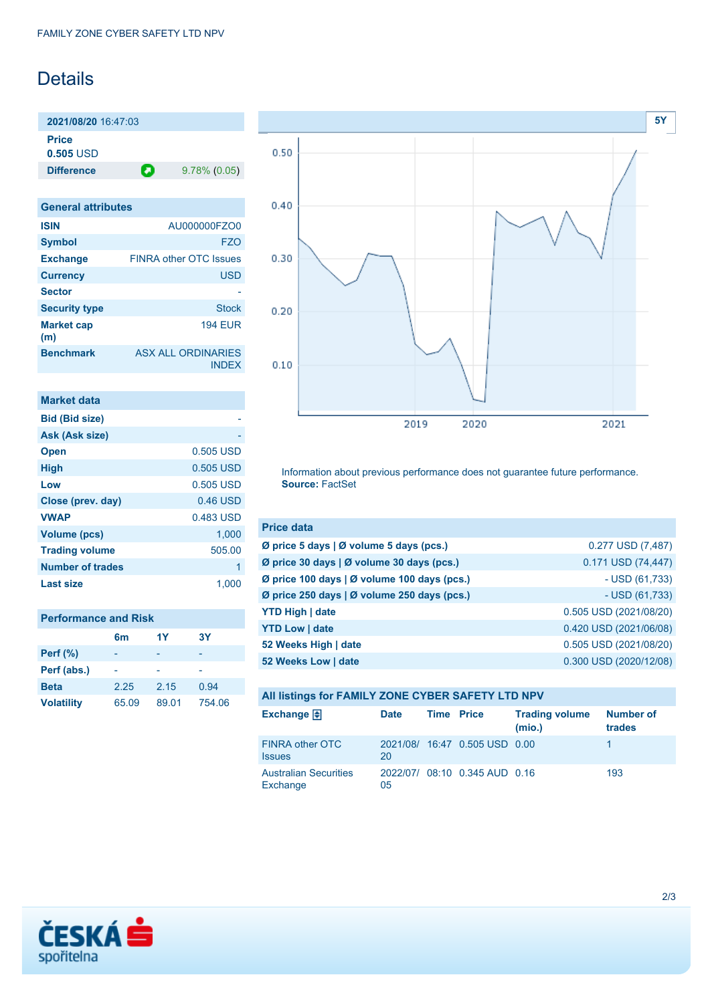## Details

**2021/08/20** 16:47:03 **Price 0.505** USD

**Difference D** 9.78% (0.05)

**General attributes ISIN** AU000000FZO0 **Symbol** FZO **Exchange** FINRA other OTC Issues **Currency** USD **Sector Security type** Stock **Market cap (m)** 194 EUR **Benchmark** ASX ALL ORDINARIES INDEX

| <b>Market data</b>      |           |
|-------------------------|-----------|
| <b>Bid (Bid size)</b>   |           |
| Ask (Ask size)          |           |
| <b>Open</b>             | 0.505 USD |
| <b>High</b>             | 0.505 USD |
| Low                     | 0.505 USD |
| Close (prev. day)       | 0.46 USD  |
| <b>VWAP</b>             | 0.483 USD |
| <b>Volume (pcs)</b>     | 1,000     |
| <b>Trading volume</b>   | 505.00    |
| <b>Number of trades</b> | 1         |
| Last size               | 1.00      |

| <b>Performance and Risk</b> |          |       |           |  |
|-----------------------------|----------|-------|-----------|--|
|                             | 1Y<br>6m |       | <b>3Y</b> |  |
| <b>Perf</b> (%)             |          |       |           |  |
| Perf (abs.)                 |          |       |           |  |
| <b>Beta</b>                 | 2.25     | 2.15  | 0.94      |  |
| <b>Volatility</b>           | 65.09    | 89.01 | 754.06    |  |



Information about previous performance does not guarantee future performance. **Source:** FactSet

| <b>Price data</b>                           |                        |
|---------------------------------------------|------------------------|
| Ø price 5 days   Ø volume 5 days (pcs.)     | 0.277 USD (7,487)      |
| Ø price 30 days   Ø volume 30 days (pcs.)   | 0.171 USD (74,447)     |
| Ø price 100 days   Ø volume 100 days (pcs.) | $-$ USD (61,733)       |
| Ø price 250 days   Ø volume 250 days (pcs.) | $-$ USD (61,733)       |
| <b>YTD High   date</b>                      | 0.505 USD (2021/08/20) |
| <b>YTD Low   date</b>                       | 0.420 USD (2021/06/08) |
| 52 Weeks High   date                        | 0.505 USD (2021/08/20) |
| 52 Weeks Low   date                         | 0.300 USD (2020/12/08) |

| All listings for FAMILY ZONE CYBER SAFETY LTD NPV |             |                   |                               |                                 |                     |
|---------------------------------------------------|-------------|-------------------|-------------------------------|---------------------------------|---------------------|
| Exchange $\bigoplus$                              | <b>Date</b> | <b>Time Price</b> |                               | <b>Trading volume</b><br>(mio.) | Number of<br>trades |
| <b>FINRA other OTC</b><br><b>Issues</b>           | 20          |                   | 2021/08/ 16:47 0.505 USD 0.00 |                                 |                     |
| <b>Australian Securities</b><br>Exchange          | 05          |                   | 2022/07/ 08:10 0.345 AUD 0.16 |                                 | 193                 |